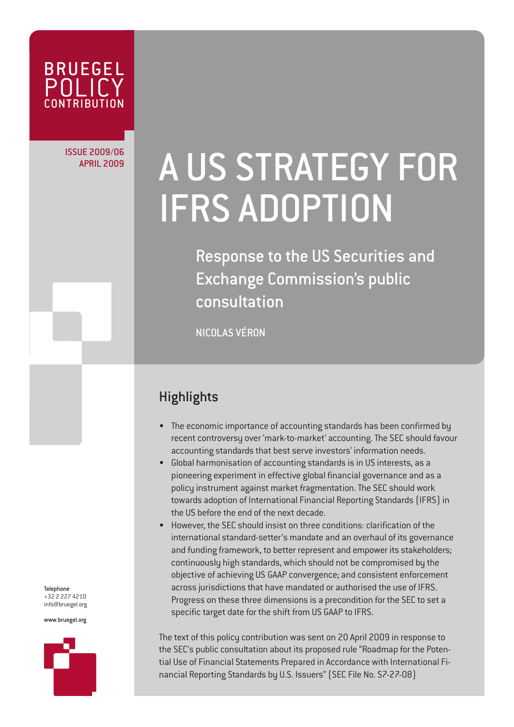

ISSUE 2009/06

# APRIL 2009/06 A US STRATEGY FOR IFRS ADOPTION

Response to the US Securities and Exchange Commission's public consultation

NICOLAS VÉRON

## **Highlights**

- The economic importance of accounting standards has been confirmed by recent controversy over 'mark-to-market' accounting. The SEC should favour accounting standards that best serve investors' information needs.
- Global harmonisation of accounting standards is in US interests, as a pioneering experiment in effective global financial governance and as a policy instrument against market fragmentation. The SEC should work towards adoption of International Financial Reporting Standards (IFRS) in the US before the end of the next decade.
- However, the SEC should insist on three conditions: clarification of the international standard-setter's mandate and an overhaul of its governance and funding framework, to better represent and empower its stakeholders; continuously high standards, which should not be compromised by the objective of achieving US GAAP convergence; and consistent enforcement across jurisdictions that have mandated or authorised the use of IFRS. Progress on these three dimensions is a precondition for the SEC to set a specific target date for the shift from US GAAP to IFRS.

The text of this policy contribution was sent on 20 April 2009 in response to the SEC's public consultation about its proposed rule "Roadmap for the Potential Use of Financial Statements Prepared in Accordance with International Financial Reporting Standards by U.S. Issuers" (SEC File No. S7-27-08)

Telephone +32 2 227 4210 info@bruegel.org

www.bruegel.org

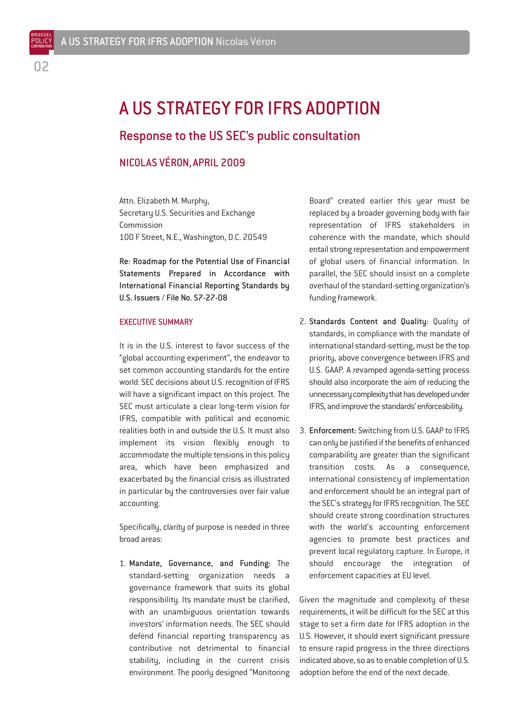BRUEGEL POLICY **CONTRIBUTION** 

# A US STRATEGY FOR IFRS ADOPTION

## Response to the US SEC's public consultation

## NICOLAS VÉRON, APRIL 2009

Attn. Elizabeth M. Murphy, Secretary U.S. Securities and Exchange Commission 100 F Street, N.E., Washington, D.C. 20549

Re: Roadmap for the Potential Use of Financial Statements Prepared in Accordance with International Financial Reporting Standards by U.S. Issuers / File No. S7-27-08

#### EXECUTIVE SUMMARY

It is in the U.S. interest to favor success of the "global accounting experiment", the endeavor to set common accounting standards for the entire world. SEC decisions about U.S. recognition of IFRS will have a significant impact on this project. The SEC must articulate a clear long-term vision for IFRS, compatible with political and economic realities both in and outside the U.S. It must also implement its vision flexibly enough to accommodate the multiple tensions in this policy area, which have been emphasized and exacerbated by the financial crisis as illustrated in particular by the controversies over fair value accounting.

Specifically, clarity of purpose is needed in three broad areas:

1. Mandate, Governance, and Funding: The standard-setting organization needs a governance framework that suits its global responsibility. Its mandate must be clarified, with an unambiguous orientation towards investors' information needs. The SEC should defend financial reporting transparency as contributive not detrimental to financial stability, including in the current crisis environment. The poorly designed "Monitoring

Board" created earlier this year must be replaced by a broader governing body with fair representation of IFRS stakeholders in coherence with the mandate, which should entail strong representation and empowerment of global users of financial information. In parallel, the SEC should insist on a complete overhaul of the standard-setting organization's funding framework.

- 2. Standards Content and Quality: Quality of standards, in compliance with the mandate of international standard-setting, must be the top priority, above convergence between IFRS and U.S. GAAP. A revamped agenda-setting process should also incorporate the aim of reducing the unnecessary complexity that has developed under IFRS, and improve the standards' enforceability.
- 3. Enforcement: Switching from U.S. GAAP to IFRS can only be justified if the benefits of enhanced comparability are greater than the significant transition costs. As a consequence, international consistency of implementation and enforcement should be an integral part of the SEC's strategy for IFRS recognition. The SEC should create strong coordination structures with the world's accounting enforcement agencies to promote best practices and prevent local regulatory capture. In Europe, it should encourage the integration of enforcement capacities at EU level.

Given the magnitude and complexity of these requirements, it will be difficult for the SEC at this stage to set a firm date for IFRS adoption in the U.S. However, it should exert significant pressure to ensure rapid progress in the three directions indicated above, so as to enable completion of U.S. adoption before the end of the next decade.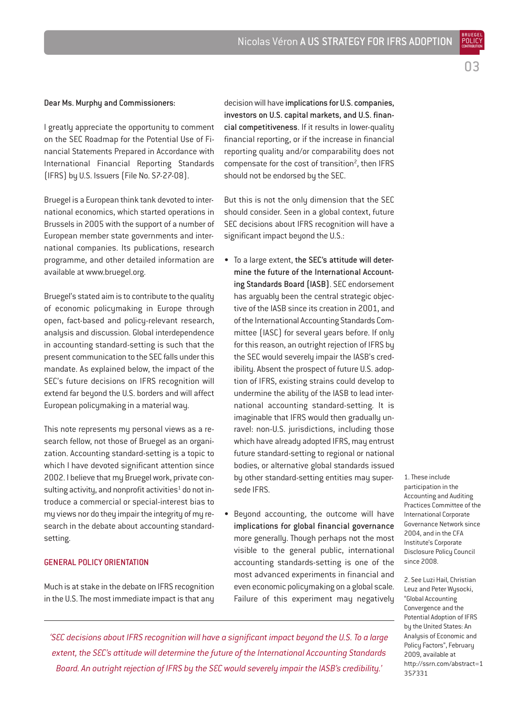BRUEGEL POLICY **CONTRIBUTION** 

#### Dear Ms. Murphy and Commissioners:

I greatly appreciate the opportunity to comment on the SEC Roadmap for the Potential Use of Financial Statements Prepared in Accordance with International Financial Reporting Standards (IFRS) by U.S. Issuers (File No. S7-27-08).

Bruegel is a European think tank devoted to international economics, which started operations in Brussels in 2005 with the support of a number of European member state governments and international companies. Its publications, research programme, and other detailed information are available at www.bruegel.org.

Bruegel's stated aim is to contribute to the quality of economic policymaking in Europe through open, fact-based and policy-relevant research, analysis and discussion. Global interdependence in accounting standard-setting is such that the present communication to the SEC falls under this mandate. As explained below, the impact of the SEC's future decisions on IFRS recognition will extend far beyond the U.S. borders and will affect European policymaking in a material way.

This note represents my personal views as a research fellow, not those of Bruegel as an organization. Accounting standard-setting is a topic to which I have devoted significant attention since 2002. I believe that my Bruegel work, private consulting activity, and nonprofit activities<sup>1</sup> do not introduce a commercial or special-interest bias to my views nor do they impair the integrity of my research in the debate about accounting standardsetting.

#### GENERAL POLICY ORIENTATION

Much is at stake in the debate on IFRS recognition in the U.S. The most immediate impact is that any decision will have implications for U.S. companies, investors on U.S. capital markets, and U.S. financial competitiveness. If it results in lower-quality financial reporting, or if the increase in financial reporting quality and/or comparability does not compensate for the cost of transition<sup>2</sup>, then IFRS should not be endorsed by the SEC.

But this is not the only dimension that the SEC should consider. Seen in a global context, future SEC decisions about IFRS recognition will have a significant impact beyond the U.S.:

- To a large extent, the SEC's attitude will determine the future of the International Accounting Standards Board (IASB). SEC endorsement has arguably been the central strategic objective of the IASB since its creation in 2001, and of the International Accounting Standards Committee (IASC) for several years before. If only for this reason, an outright rejection of IFRS by the SEC would severely impair the IASB's credibility. Absent the prospect of future U.S. adoption of IFRS, existing strains could develop to undermine the ability of the IASB to lead international accounting standard-setting. It is imaginable that IFRS would then gradually unravel: non-U.S. jurisdictions, including those which have already adopted IFRS, may entrust future standard-setting to regional or national bodies, or alternative global standards issued by other standard-setting entities may supersede IFRS.
- Beyond accounting, the outcome will have implications for global financial governance more generally. Though perhaps not the most visible to the general public, international accounting standards-setting is one of the most advanced experiments in financial and even economic policymaking on a global scale. Failure of this experiment may negatively

1. These include participation in the Accounting and Auditing Practices Committee of the International Corporate Governance Network since 2004, and in the CFA Institute's Corporate Disclosure Policy Council since 2008.

2. See Luzi Hail, Christian Leuz and Peter Wysocki, "Global Accounting Convergence and the Potential Adoption of IFRS by the United States: An Analysis of Economic and Policy Factors", February 2009, available at http://ssrn.com/abstract=1 357331

*'SEC decisions about IFRS recognition will have a significant impact beyond the U.S. To a large extent, the SEC's attitude will determine the future of the International Accounting Standards Board. An outright rejection of IFRS by the SEC would severely impair the IASB's credibility.'*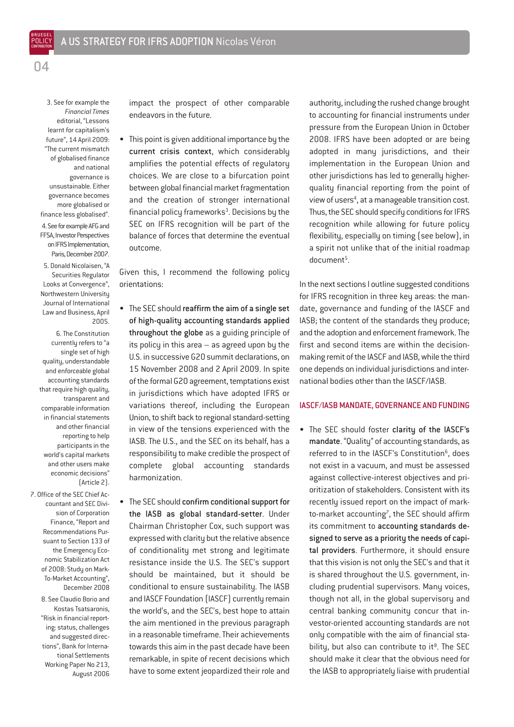

BRUEGEL POLICY **CONTRIBUTION** 

> 3. See for example the *Financial Times* editorial, "Lessons learnt for capitalism's future", 14 April 2009: "The current mismatch of globalised finance and national governance is unsustainable. Either governance becomes more globalised or finance less globalised". 4. See for example AFG and FFSA, Investor Perspectives on IFRS Implementation, Paris, December 2007.

> 5. Donald Nicolaisen, "A Securities Regulator Looks at Convergence", Northwestern University Journal of International Law and Business, April 2005.

6. The Constitution currently refers to "a single set of high quality, understandable and enforceable global accounting standards that require high quality, transparent and comparable information in financial statements and other financial reporting to help participants in the world's capital markets and other users make economic decisions" (Article 2).

7. Office of the SEC Chief Accountant and SEC Division of Corporation Finance, "Report and Recommendations Pursuant to Section 133 of the Emergency Economic Stabilization Act of 2008: Study on Mark-To-Market Accounting", December 2008

8. See Claudio Borio and Kostas Tsatsaronis, "Risk in financial reporting: status, challenges and suggested directions", Bank for International Settlements Working Paper No 213, August 2006 impact the prospect of other comparable endeavors in the future.

• This point is given additional importance by the current crisis context, which considerably amplifies the potential effects of regulatory choices. We are close to a bifurcation point between global financial market fragmentation and the creation of stronger international financial policy frameworks $3$ . Decisions by the SEC on IFRS recognition will be part of the balance of forces that determine the eventual outcome.

Given this, I recommend the following policy orientations:

- The SEC should reaffirm the aim of a single set of high-quality accounting standards applied throughout the globe as a guiding principle of its policy in this area – as agreed upon by the U.S. in successive G20 summit declarations, on 15 November 2008 and 2 April 2009. In spite of the formal G20 agreement, temptations exist in jurisdictions which have adopted IFRS or variations thereof, including the European Union, to shift back to regional standard-setting in view of the tensions experienced with the IASB. The U.S., and the SEC on its behalf, has a responsibility to make credible the prospect of complete global accounting standards harmonization.
- The SEC should confirm conditional support for the IASB as global standard-setter. Under Chairman Christopher Cox, such support was expressed with clarity but the relative absence of conditionality met strong and legitimate resistance inside the U.S. The SEC's support should be maintained, but it should be conditional to ensure sustainability. The IASB and IASCF Foundation (IASCF) currently remain the world's, and the SEC's, best hope to attain the aim mentioned in the previous paragraph in a reasonable timeframe. Their achievements towards this aim in the past decade have been remarkable, in spite of recent decisions which have to some extent jeopardized their role and

authority, including the rushed change brought to accounting for financial instruments under pressure from the European Union in October 2008. IFRS have been adopted or are being adopted in many jurisdictions, and their implementation in the European Union and other jurisdictions has led to generally higherquality financial reporting from the point of view of users<sup>4</sup>, at a manageable transition cost. Thus, the SEC should specify conditions for IFRS recognition while allowing for future policy flexibility, especially on timing (see below), in a spirit not unlike that of the initial roadmap document<sup>5</sup>.

In the next sections I outline suggested conditions for IFRS recognition in three key areas: the mandate, governance and funding of the IASCF and IASB; the content of the standards they produce; and the adoption and enforcement framework. The first and second items are within the decisionmaking remit of the IASCF and IASB, while the third one depends on individual jurisdictions and international bodies other than the IASCF/IASB.

#### IASCF/IASB MANDATE, GOVERNANCE AND FUNDING

• The SEC should foster clarity of the IASCF's mandate. "Quality" of accounting standards, as referred to in the IASCF's Constitution<sup>6</sup>, does not exist in a vacuum, and must be assessed against collective-interest objectives and prioritization of stakeholders. Consistent with its recently issued report on the impact of markto-market accounting<sup>7</sup>, the SEC should affirm its commitment to accounting standards designed to serve as a priority the needs of capital providers. Furthermore, it should ensure that this vision is not only the SEC's and that it is shared throughout the U.S. government, including prudential supervisors. Many voices, though not all, in the global supervisory and central banking community concur that investor-oriented accounting standards are not only compatible with the aim of financial stability, but also can contribute to  $it<sup>8</sup>$ . The SEC should make it clear that the obvious need for the IASB to appropriately liaise with prudential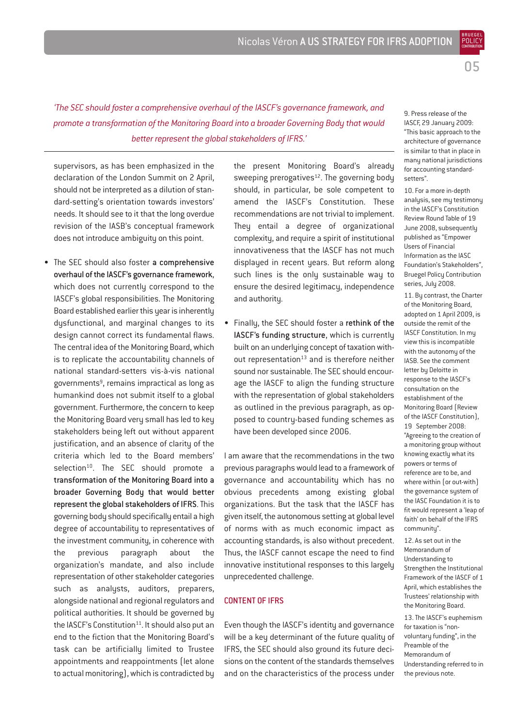05

BRUEGEL POLICY **CONTRIBUTION** 

*'The SEC should foster a comprehensive overhaul of the IASCF's governance framework, and promote a transformation of the Monitoring Board into a broader Governing Body that would better represent the global stakeholders of IFRS.'*

supervisors, as has been emphasized in the declaration of the London Summit on 2 April, should not be interpreted as a dilution of standard-setting's orientation towards investors' needs. It should see to it that the long overdue revision of the IASB's conceptual framework does not introduce ambiguity on this point.

• The SEC should also foster a comprehensive overhaul of the IASCF's governance framework, which does not currently correspond to the IASCF's global responsibilities. The Monitoring Board established earlier this year is inherently dysfunctional, and marginal changes to its design cannot correct its fundamental flaws. The central idea of the Monitoring Board, which is to replicate the accountability channels of national standard-setters vis-à-vis national governments<sup>9</sup>, remains impractical as long as humankind does not submit itself to a global government. Furthermore, the concern to keep the Monitoring Board very small has led to key stakeholders being left out without apparent justification, and an absence of clarity of the criteria which led to the Board members' selection<sup>10</sup>. The SEC should promote a transformation of the Monitoring Board into a broader Governing Body that would better represent the global stakeholders of IFRS. This governing body should specifically entail a high degree of accountability to representatives of the investment community, in coherence with the previous paragraph about the organization's mandate, and also include representation of other stakeholder categories such as analysts, auditors, preparers, alongside national and regional regulators and political authorities. It should be governed by the IASCF's Constitution $11$ . It should also put an end to the fiction that the Monitoring Board's task can be artificially limited to Trustee appointments and reappointments (let alone to actual monitoring), which is contradicted by

the present Monitoring Board's already sweeping prerogatives<sup>12</sup>. The governing body should, in particular, be sole competent to amend the IASCF's Constitution. These recommendations are not trivial to implement. They entail a degree of organizational complexity, and require a spirit of institutional innovativeness that the IASCF has not much displayed in recent years. But reform along such lines is the only sustainable way to ensure the desired legitimacy, independence and authority.

• Finally, the SEC should foster a rethink of the IASCF's funding structure, which is currently built on an underlying concept of taxation without representation $13$  and is therefore neither sound nor sustainable. The SEC should encourage the IASCF to align the funding structure with the representation of global stakeholders as outlined in the previous paragraph, as opposed to country-based funding schemes as have been developed since 2006.

I am aware that the recommendations in the two previous paragraphs would lead to a framework of governance and accountability which has no obvious precedents among existing global organizations. But the task that the IASCF has given itself, the autonomous setting at global level of norms with as much economic impact as accounting standards, is also without precedent. Thus, the IASCF cannot escape the need to find innovative institutional responses to this largely unprecedented challenge.

#### CONTENT OF IFRS

Even though the IASCF's identity and governance will be a key determinant of the future quality of IFRS, the SEC should also ground its future decisions on the content of the standards themselves and on the characteristics of the process under

9. Press release of the IASCF, 29 January 2009: "This basic approach to the architecture of governance is similar to that in place in many national jurisdictions for accounting standardsetters".

10. For a more in-depth analysis, see my testimony in the IASCF's Constitution Review Round Table of 19 June 2008, subsequently published as "Empower Users of Financial Information as the IASC Foundation's Stakeholders", Bruegel Policy Contribution series, July 2008.

11. By contrast, the Charter of the Monitoring Board, adopted on 1 April 2009, is outside the remit of the IASCF Constitution. In my view this is incompatible with the autonomy of the IASB. See the comment letter by Deloitte in response to the IASCF's consultation on the establishment of the Monitoring Board (Review of the IASCF Constitution), 19 September 2008: "Agreeing to the creation of a monitoring group without knowing exactly what its powers or terms of reference are to be, and where within (or out-with) the governance system of the IASC Foundation it is to fit would represent a 'leap of faith' on behalf of the IFRS community".

12. As set out in the Memorandum of Understanding to Strengthen the Institutional Framework of the IASCF of 1 April, which establishes the Trustees' relationship with the Monitoring Board.

13. The IASCF's euphemism for taxation is "nonvoluntary funding", in the Preamble of the Memorandum of Understanding referred to in the previous note.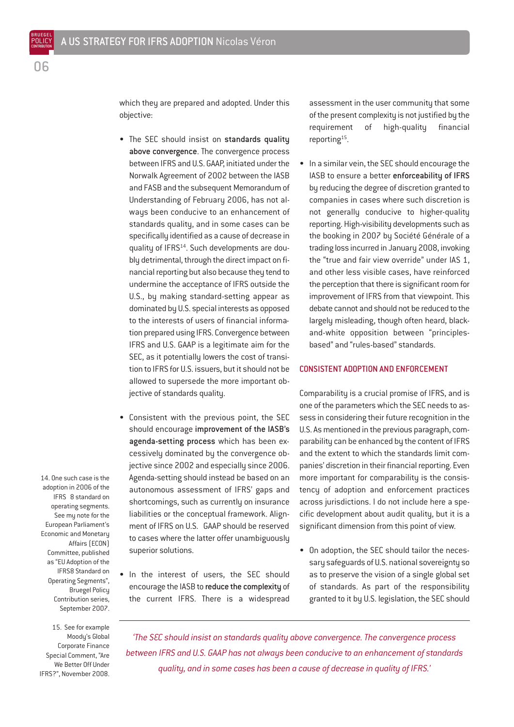which they are prepared and adopted. Under this objective:

- The SEC should insist on standards quality above convergence. The convergence process between IFRS and U.S. GAAP, initiated under the Norwalk Agreement of 2002 between the IASB and FASB and the subsequent Memorandum of Understanding of February 2006, has not always been conducive to an enhancement of standards quality, and in some cases can be specifically identified as a cause of decrease in quality of IFRS<sup>14</sup>. Such developments are doubly detrimental, through the direct impact on financial reporting but also because they tend to undermine the acceptance of IFRS outside the U.S., by making standard-setting appear as dominated by U.S. special interests as opposed to the interests of users of financial information prepared using IFRS. Convergence between IFRS and U.S. GAAP is a legitimate aim for the SEC, as it potentially lowers the cost of transition to IFRS for U.S. issuers, but it should not be allowed to supersede the more important objective of standards quality.
- Consistent with the previous point, the SEC should encourage improvement of the IASB's agenda-setting process which has been excessively dominated by the convergence objective since 2002 and especially since 2006. Agenda-setting should instead be based on an autonomous assessment of IFRS' gaps and shortcomings, such as currently on insurance liabilities or the conceptual framework. Alignment of IFRS on U.S. GAAP should be reserved to cases where the latter offer unambiguously superior solutions.
- In the interest of users, the SEC should encourage the IASB to reduce the complexity of the current IFRS. There is a widespread

assessment in the user community that some of the present complexity is not justified by the requirement of high-quality financial reporting<sup>15</sup>.

In a similar vein, the SEC should encourage the IASB to ensure a better enforceability of IFRS by reducing the degree of discretion granted to companies in cases where such discretion is not generally conducive to higher-quality reporting. High-visibility developments such as the booking in 2007 by Société Générale of a trading loss incurred in January 2008, invoking the "true and fair view override" under IAS 1, and other less visible cases, have reinforced the perception that there is significant room for improvement of IFRS from that viewpoint. This debate cannot and should not be reduced to the largely misleading, though often heard, blackand-white opposition between "principlesbased" and "rules-based" standards.

#### CONSISTENT ADOPTION AND ENFORCEMENT

Comparability is a crucial promise of IFRS, and is one of the parameters which the SEC needs to assess in considering their future recognition in the U.S. As mentioned in the previous paragraph, comparability can be enhanced by the content of IFRS and the extent to which the standards limit companies' discretion in their financial reporting. Even more important for comparability is the consistency of adoption and enforcement practices across jurisdictions. I do not include here a specific development about audit quality, but it is a significant dimension from this point of view.

• On adoption, the SEC should tailor the necessary safeguards of U.S. national sovereignty so as to preserve the vision of a single global set of standards. As part of the responsibility granted to it by U.S. legislation, the SEC should

14. One such case is the adoption in 2006 of the IFRS 8 standard on operating segments. See my note for the European Parliament's Economic and Monetary Affairs (ECON) Committee, published as "EU Adoption of the IFRS8 Standard on Operating Segments", Bruegel Policy Contribution series, September 2007.

15. See for example Moody's Global Corporate Finance Special Comment, "Are We Better Off Under IFRS?", November 2008.

*'The SEC should insist on standards quality above convergence. The convergence process between IFRS and U.S. GAAP has not always been conducive to an enhancement of standards quality, and in some cases has been a cause of decrease in quality of IFRS.'*

BRUEGEL POLICY

 $\cap$